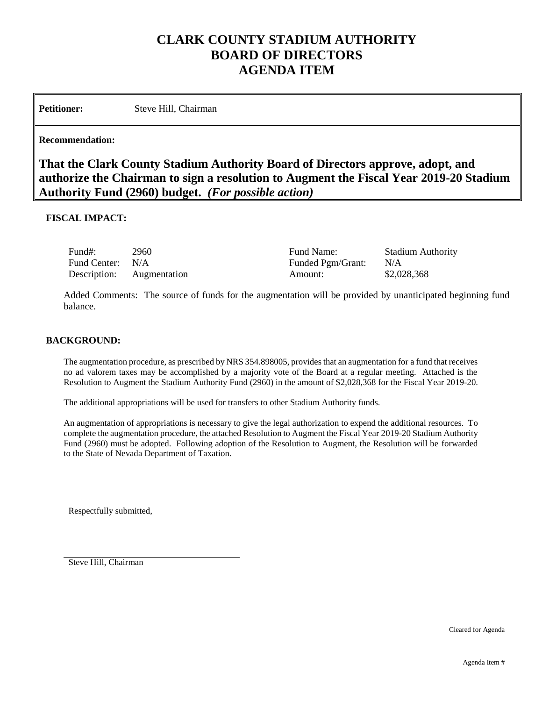# **CLARK COUNTY STADIUM AUTHORITY BOARD OF DIRECTORS AGENDA ITEM**

Petitioner: Steve Hill, Chairman

#### **Recommendation:**

**That the Clark County Stadium Authority Board of Directors approve, adopt, and authorize the Chairman to sign a resolution to Augment the Fiscal Year 2019-20 Stadium Authority Fund (2960) budget.** *(For possible action)*

#### **FISCAL IMPACT:**

| Fund#:                    | 2960 | Fund Name:        | <b>Stadium Authority</b> |
|---------------------------|------|-------------------|--------------------------|
| Fund Center: N/A          |      | Funded Pgm/Grant: | N/A                      |
| Description: Augmentation |      | Amount:           | \$2,028,368              |

Added Comments: The source of funds for the augmentation will be provided by unanticipated beginning fund balance.

#### **BACKGROUND:**

The augmentation procedure, as prescribed by NRS 354.898005, provides that an augmentation for a fund that receives no ad valorem taxes may be accomplished by a majority vote of the Board at a regular meeting. Attached is the Resolution to Augment the Stadium Authority Fund (2960) in the amount of \$2,028,368 for the Fiscal Year 2019-20.

The additional appropriations will be used for transfers to other Stadium Authority funds.

An augmentation of appropriations is necessary to give the legal authorization to expend the additional resources. To complete the augmentation procedure, the attached Resolution to Augment the Fiscal Year 2019-20 Stadium Authority Fund (2960) must be adopted. Following adoption of the Resolution to Augment, the Resolution will be forwarded to the State of Nevada Department of Taxation.

Respectfully submitted,

Steve Hill, Chairman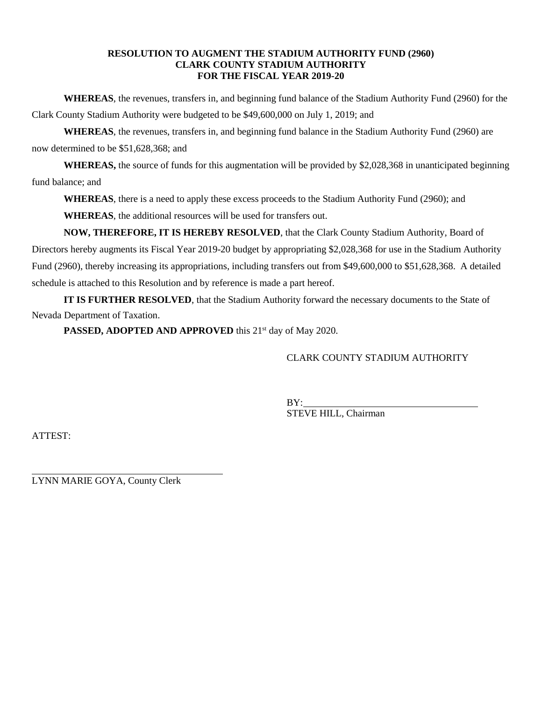#### **RESOLUTION TO AUGMENT THE STADIUM AUTHORITY FUND (2960) CLARK COUNTY STADIUM AUTHORITY FOR THE FISCAL YEAR 2019-20**

**WHEREAS**, the revenues, transfers in, and beginning fund balance of the Stadium Authority Fund (2960) for the Clark County Stadium Authority were budgeted to be \$49,600,000 on July 1, 2019; and

**WHEREAS**, the revenues, transfers in, and beginning fund balance in the Stadium Authority Fund (2960) are now determined to be \$51,628,368; and

WHEREAS, the source of funds for this augmentation will be provided by \$2,028,368 in unanticipated beginning fund balance; and

**WHEREAS**, there is a need to apply these excess proceeds to the Stadium Authority Fund (2960); and

**WHEREAS**, the additional resources will be used for transfers out.

**NOW, THEREFORE, IT IS HEREBY RESOLVED**, that the Clark County Stadium Authority, Board of Directors hereby augments its Fiscal Year 2019-20 budget by appropriating \$2,028,368 for use in the Stadium Authority Fund (2960), thereby increasing its appropriations, including transfers out from \$49,600,000 to \$51,628,368. A detailed schedule is attached to this Resolution and by reference is made a part hereof.

**IT IS FURTHER RESOLVED**, that the Stadium Authority forward the necessary documents to the State of Nevada Department of Taxation.

**PASSED, ADOPTED AND APPROVED** this 21<sup>st</sup> day of May 2020.

## CLARK COUNTY STADIUM AUTHORITY

BY: STEVE HILL, Chairman

ATTEST:

l LYNN MARIE GOYA, County Clerk